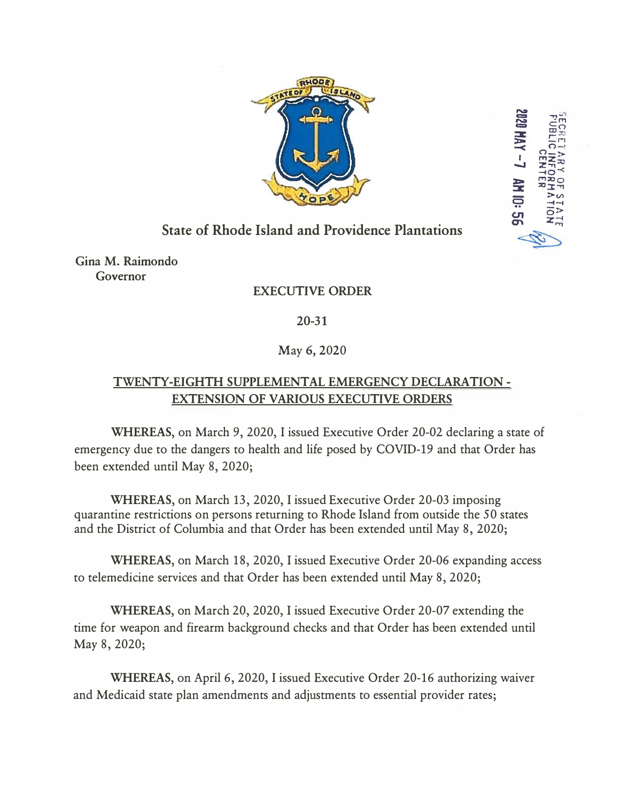

**ZU20 HAY -7** 

AM IO:

## **State of Rhode Island and Providence Plantations**

**Gina M. Raimondo Governor** 

## **EXECUTIVE ORDER**

**20-31**

## May 6, 2020

## **TWENTY-EIGHTH SUPPLEMENTAL EMERGENCY DECLARATION - EXTENSION OF VARIOUS EXECUTIVE ORDERS**

**WHEREAS,** on March 9, 2020, I issued Executive Order 20-02 declaring a state of emergency due to the dangers to health and life posed by COVID-19 and that Order has been extended until May 8, 2020;

**WHEREAS,** on March 13, 2020, I issued Executive Order 20-03 imposing quarantine restrictions on persons returning to Rhode Island from outside the 50 states and the District of Columbia and that Order has been extended until May 8, 2020;

**WHEREAS,** on March 18, 2020, I issued Executive Order 20-06 expanding access to telemedicine services and that Order has been extended until May 8, 2020;

**WHEREAS,** on March 20, 2020, I issued Executive Order 20-07 extending the time for weapon and firearm background checks and that Order has been extended until May 8, 2020;

**WHEREAS,** on April 6, 2020, I issued Executive Order 20-16 authorizing waiver and Medicaid state plan amendments and adjustments to essential provider rates;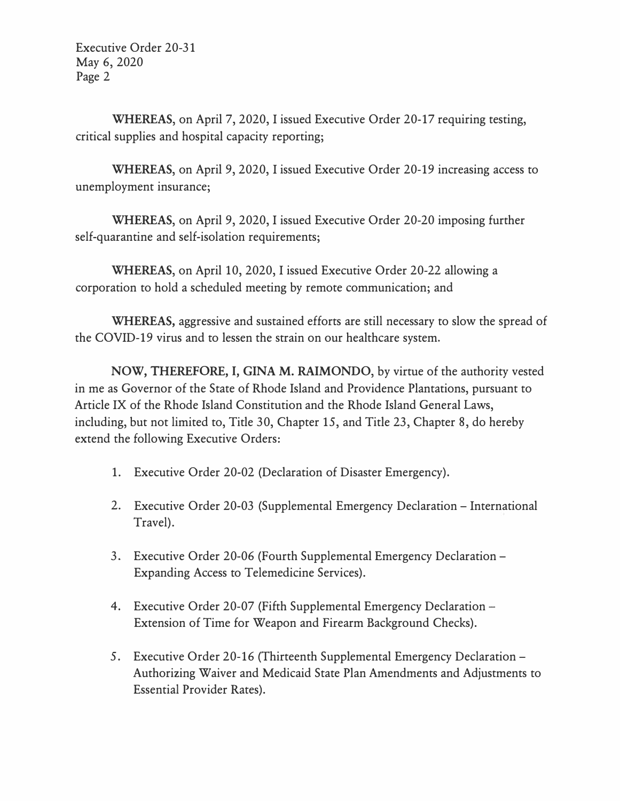Executive Order 20-31 May 6, 2020 Page 2

**WHEREAS,** on April 7, 2020, I issued Executive Order 20-17 requiring testing, critical supplies and hospital capacity reporting;

**WHEREAS,** on April 9, 2020, I issued Executive Order 20-19 increasing access to unemployment insurance;

**WHEREAS,** on April 9, 2020, I issued Executive Order 20-20 imposing further self-quarantine and self-isolation requirements;

**WHEREAS,** on April 10, 2020, I issued Executive Order 20-22 allowing a corporation to hold a scheduled meeting by remote communication; and

**WHEREAS,** aggressive and sustained efforts are still necessary to slow the spread of the COVID-19 virus and to lessen the strain on our healthcare system.

**NOW, THEREFORE,** I, **GINA M. RAIMONDO,** by virtue of the authority vested in me as Governor of the State of Rhode Island and Providence Plantations, pursuant to Article IX of the Rhode Island Constitution and the Rhode Island General Laws, including, but not limited to, Title 30, Chapter 15, and Title 23, Chapter 8, do hereby extend the following Executive Orders:

- 1. Executive Order 20-02 (Declaration of Disaster Emergency).
- 2. Executive Order 20-03 (Supplemental Emergency Declaration International Travel).
- 3. Executive Order 20-06 (Fourth Supplemental Emergency Declaration Expanding Access to Telemedicine Services).
- 4. Executive Order 20-07 (Fifth Supplemental Emergency Declaration -Extension of Time for Weapon and Firearm Background Checks).
- 5. Executive Order 20-16 (Thirteenth Supplemental Emergency Declaration Authorizing Waiver and Medicaid State Plan Amendments and Adjustments to Essential Provider Rates).